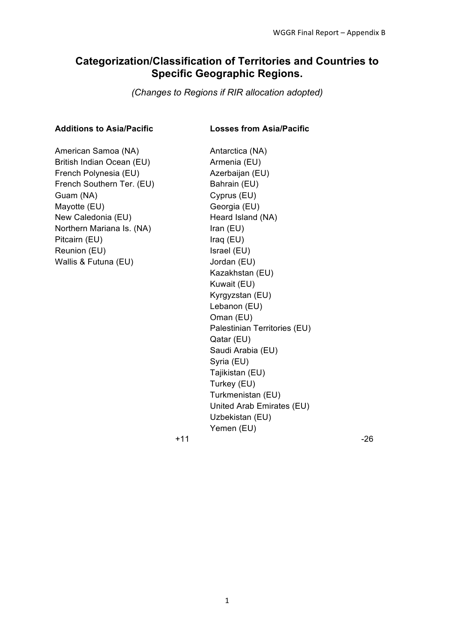# **Categorization/Classification of Territories and Countries to Specific Geographic Regions.**

*(Changes to Regions if RIR allocation adopted)*

### **Additions to Asia/Pacific Losses from Asia/Pacific**

American Samoa (NA) Antarctica (NA) British Indian Ocean (EU) Armenia (EU) French Polynesia (EU) Azerbaijan (EU) French Southern Ter. (EU) Bahrain (EU) Guam (NA) Cyprus (EU) Mayotte (EU) Georgia (EU) New Caledonia (EU) Heard Island (NA) Northern Mariana Is. (NA) Iran (EU) Pitcairn (EU) Iraq (EU) Reunion (EU) Israel (EU) Wallis & Futuna (EU) Jordan (EU)

Kazakhstan (EU) Kuwait (EU) Kyrgyzstan (EU) Lebanon (EU) Oman (EU) Palestinian Territories (EU) Qatar (EU) Saudi Arabia (EU) Syria (EU) Tajikistan (EU) Turkey (EU) Turkmenistan (EU) United Arab Emirates (EU) Uzbekistan (EU) Yemen (EU)  $+11$  -26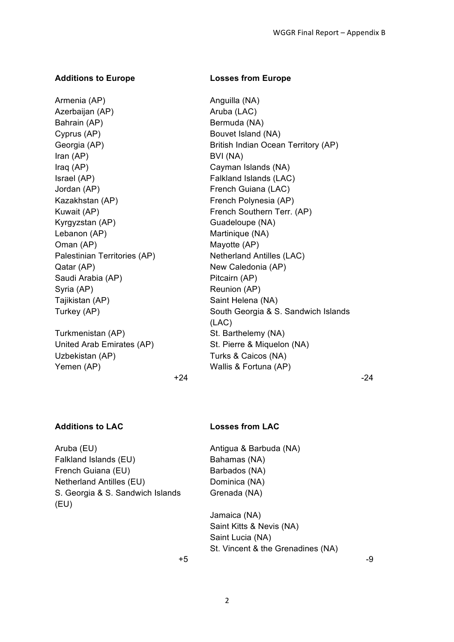## **Additions to Europe Losses from Europe**

Armenia (AP) **Anguilla** (NA) Azerbaijan (AP) **Aruba (LAC)** Aruba (LAC) Bahrain (AP) Bermuda (NA) Cyprus (AP) Bouvet Island (NA) Iran (AP) BVI (NA) Iraq (AP) Cayman Islands (NA) Israel (AP) Falkland Islands (LAC) Jordan (AP) **French Guiana (LAC)** Kazakhstan (AP) French Polynesia (AP) Kyrgyzstan (AP) Guadeloupe (NA) Lebanon (AP) Martinique (NA) Oman (AP) Mayotte (AP) Palestinian Territories (AP) Netherland Antilles (LAC) Qatar (AP) New Caledonia (AP) Saudi Arabia (AP) Pitcairn (AP) Syria (AP) **Reunion** (AP) Tajikistan (AP) Saint Helena (NA)

Turkmenistan (AP) St. Barthelemy (NA) Uzbekistan (AP) Turks & Caicos (NA) Yemen (AP) Wallis & Fortuna (AP)

Georgia (AP) British Indian Ocean Territory (AP) Kuwait (AP) **French Southern Terr.** (AP) Turkey (AP) South Georgia & S. Sandwich Islands (LAC) United Arab Emirates (AP) St. Pierre & Miquelon (NA)  $+24$  -24

## **Additions to LAC Losses from LAC**

Aruba (EU) Antigua & Barbuda (NA) Falkland Islands (EU) Bahamas (NA) French Guiana (EU) Barbados (NA) Netherland Antilles (EU) Dominica (NA) S. Georgia & S. Sandwich Islands (EU)

Grenada (NA)

Jamaica (NA) Saint Kitts & Nevis (NA) Saint Lucia (NA) St. Vincent & the Grenadines (NA)

 $+5$  -9